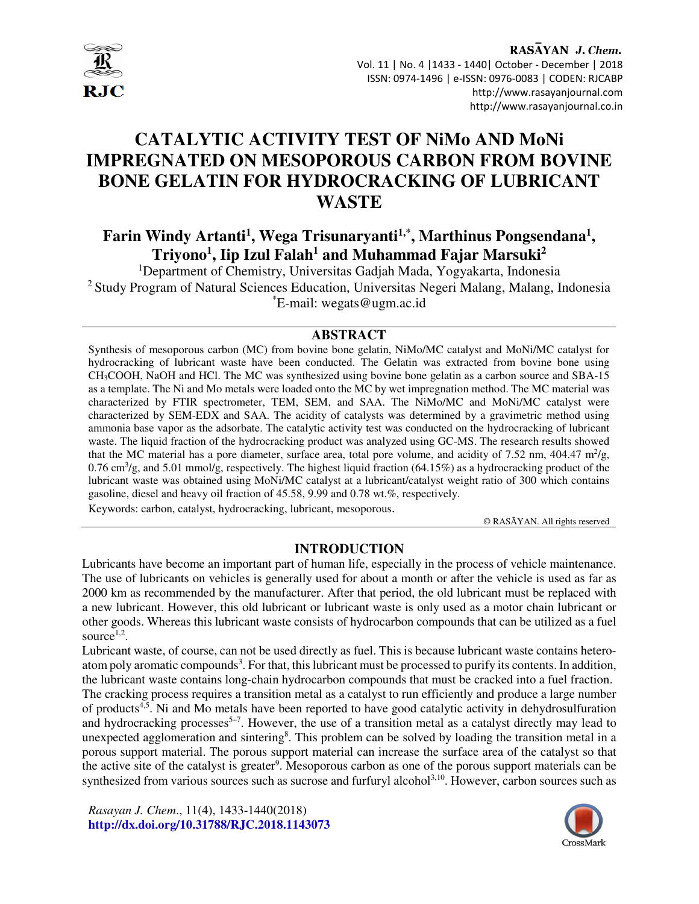

# **CATALYTIC ACTIVITY TEST OF NiMo AND MoNi IMPREGNATED ON MESOPOROUS CARBON FROM BOVINE BONE GELATIN FOR HYDROCRACKING OF LUBRICANT WASTE**

# **Farin Windy Artanti<sup>1</sup> , Wega Trisunaryanti1,\*, Marthinus Pongsendana<sup>1</sup> , Triyono<sup>1</sup> , Iip Izul Falah<sup>1</sup> and Muhammad Fajar Marsuki<sup>2</sup>**

<sup>1</sup>Department of Chemistry, Universitas Gadjah Mada, Yogyakarta, Indonesia <sup>2</sup> Study Program of Natural Sciences Education, Universitas Negeri Malang, Malang, Indonesia \*E-mail: wegats@ugm.ac.id

#### **ABSTRACT**

Synthesis of mesoporous carbon (MC) from bovine bone gelatin, NiMo/MC catalyst and MoNi/MC catalyst for hydrocracking of lubricant waste have been conducted. The Gelatin was extracted from bovine bone using CH3COOH, NaOH and HCl. The MC was synthesized using bovine bone gelatin as a carbon source and SBA-15 as a template. The Ni and Mo metals were loaded onto the MC by wet impregnation method. The MC material was characterized by FTIR spectrometer, TEM, SEM, and SAA. The NiMo/MC and MoNi/MC catalyst were characterized by SEM-EDX and SAA. The acidity of catalysts was determined by a gravimetric method using ammonia base vapor as the adsorbate. The catalytic activity test was conducted on the hydrocracking of lubricant waste. The liquid fraction of the hydrocracking product was analyzed using GC-MS. The research results showed that the MC material has a pore diameter, surface area, total pore volume, and acidity of 7.52 nm, 404.47  $m^2/g$ ,  $0.76 \text{ cm}^3/\text{g}$ , and  $5.01 \text{ mmol/g}$ , respectively. The highest liquid fraction (64.15%) as a hydrocracking product of the lubricant waste was obtained using MoNi/MC catalyst at a lubricant/catalyst weight ratio of 300 which contains gasoline, diesel and heavy oil fraction of 45.58, 9.99 and 0.78 wt.%, respectively.

Keywords: carbon, catalyst, hydrocracking, lubricant, mesoporous.

© RASĀYAN. All rights reserved

# **INTRODUCTION**

Lubricants have become an important part of human life, especially in the process of vehicle maintenance. The use of lubricants on vehicles is generally used for about a month or after the vehicle is used as far as 2000 km as recommended by the manufacturer. After that period, the old lubricant must be replaced with a new lubricant. However, this old lubricant or lubricant waste is only used as a motor chain lubricant or other goods. Whereas this lubricant waste consists of hydrocarbon compounds that can be utilized as a fuel source<sup> $1,2$ </sup>.

Lubricant waste, of course, can not be used directly as fuel. This is because lubricant waste contains heteroatom poly aromatic compounds<sup>3</sup>. For that, this lubricant must be processed to purify its contents. In addition, the lubricant waste contains long-chain hydrocarbon compounds that must be cracked into a fuel fraction. The cracking process requires a transition metal as a catalyst to run efficiently and produce a large number of products4,5. Ni and Mo metals have been reported to have good catalytic activity in dehydrosulfuration and hydrocracking processes<sup>5-7</sup>. However, the use of a transition metal as a catalyst directly may lead to unexpected agglomeration and sintering<sup>8</sup>. This problem can be solved by loading the transition metal in a porous support material. The porous support material can increase the surface area of the catalyst so that the active site of the catalyst is greater<sup>9</sup>. Mesoporous carbon as one of the porous support materials can be synthesized from various sources such as sucrose and furfuryl alcohol<sup>3,10</sup>. However, carbon sources such as

*Rasayan J. Chem*., 11(4), 1433-1440(2018) **http://dx.doi.org/10.31788/RJC.2018.1143073**

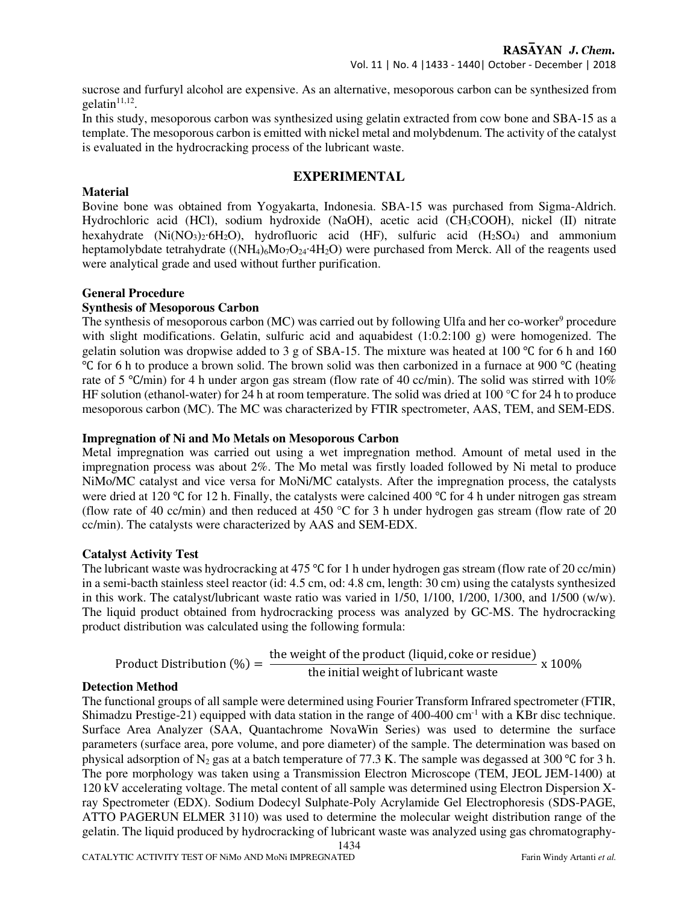sucrose and furfuryl alcohol are expensive. As an alternative, mesoporous carbon can be synthesized from  $gelatin<sup>11,12</sup>$ .

In this study, mesoporous carbon was synthesized using gelatin extracted from cow bone and SBA-15 as a template. The mesoporous carbon is emitted with nickel metal and molybdenum. The activity of the catalyst is evaluated in the hydrocracking process of the lubricant waste.

## **EXPERIMENTAL**

#### **Material**

Bovine bone was obtained from Yogyakarta, Indonesia. SBA-15 was purchased from Sigma-Aldrich. Hydrochloric acid (HCl), sodium hydroxide (NaOH), acetic acid (CH3COOH), nickel (II) nitrate hexahydrate  $(Ni(NO<sub>3</sub>)<sub>2</sub>·6H<sub>2</sub>O)$ , hydrofluoric acid  $(HF)$ , sulfuric acid  $(H<sub>2</sub>SO<sub>4</sub>)$  and ammonium heptamolybdate tetrahydrate ((NH<sub>4)6</sub>Mo<sub>7</sub>O<sub>24</sub>·4H<sub>2</sub>O) were purchased from Merck. All of the reagents used were analytical grade and used without further purification.

#### **General Procedure**

#### **Synthesis of Mesoporous Carbon**

The synthesis of mesoporous carbon (MC) was carried out by following Ulfa and her co-worker<sup>9</sup> procedure with slight modifications. Gelatin, sulfuric acid and aquabidest (1:0.2:100 g) were homogenized. The gelatin solution was dropwise added to 3 g of SBA-15. The mixture was heated at 100 ℃ for 6 h and 160 ℃ for 6 h to produce a brown solid. The brown solid was then carbonized in a furnace at 900 ℃ (heating rate of 5 ℃/min) for 4 h under argon gas stream (flow rate of 40 cc/min). The solid was stirred with 10% HF solution (ethanol-water) for 24 h at room temperature. The solid was dried at 100 °C for 24 h to produce mesoporous carbon (MC). The MC was characterized by FTIR spectrometer, AAS, TEM, and SEM-EDS.

#### **Impregnation of Ni and Mo Metals on Mesoporous Carbon**

Metal impregnation was carried out using a wet impregnation method. Amount of metal used in the impregnation process was about 2%. The Mo metal was firstly loaded followed by Ni metal to produce NiMo/MC catalyst and vice versa for MoNi/MC catalysts. After the impregnation process, the catalysts were dried at 120 °C for 12 h. Finally, the catalysts were calcined 400 °C for 4 h under nitrogen gas stream (flow rate of 40 cc/min) and then reduced at 450  $^{\circ}$ C for 3 h under hydrogen gas stream (flow rate of 20 cc/min). The catalysts were characterized by AAS and SEM-EDX.

#### **Catalyst Activity Test**

The lubricant waste was hydrocracking at 475 °C for 1 h under hydrogen gas stream (flow rate of 20 cc/min) in a semi-bacth stainless steel reactor (id: 4.5 cm, od: 4.8 cm, length: 30 cm) using the catalysts synthesized in this work. The catalyst/lubricant waste ratio was varied in 1/50, 1/100, 1/200, 1/300, and 1/500 (w/w). The liquid product obtained from hydrocracking process was analyzed by GC-MS. The hydrocracking product distribution was calculated using the following formula:

Product Distribution (
$$
\%
$$
) =  $\frac{\text{the weight of the product (liquid, coke or residue)}}{\text{the initial weight of lubricant waste}} \times 100\%$ 

#### **Detection Method**

1434 The functional groups of all sample were determined using Fourier Transform Infrared spectrometer (FTIR, Shimadzu Prestige-21) equipped with data station in the range of  $400-400$  cm<sup>-1</sup> with a KBr disc technique. Surface Area Analyzer (SAA, Quantachrome NovaWin Series) was used to determine the surface parameters (surface area, pore volume, and pore diameter) of the sample. The determination was based on physical adsorption of N<sub>2</sub> gas at a batch temperature of 77.3 K. The sample was degassed at 300 °C for 3 h. The pore morphology was taken using a Transmission Electron Microscope (TEM, JEOL JEM-1400) at 120 kV accelerating voltage. The metal content of all sample was determined using Electron Dispersion Xray Spectrometer (EDX). Sodium Dodecyl Sulphate-Poly Acrylamide Gel Electrophoresis (SDS-PAGE, ATTO PAGERUN ELMER 3110) was used to determine the molecular weight distribution range of the gelatin. The liquid produced by hydrocracking of lubricant waste was analyzed using gas chromatography-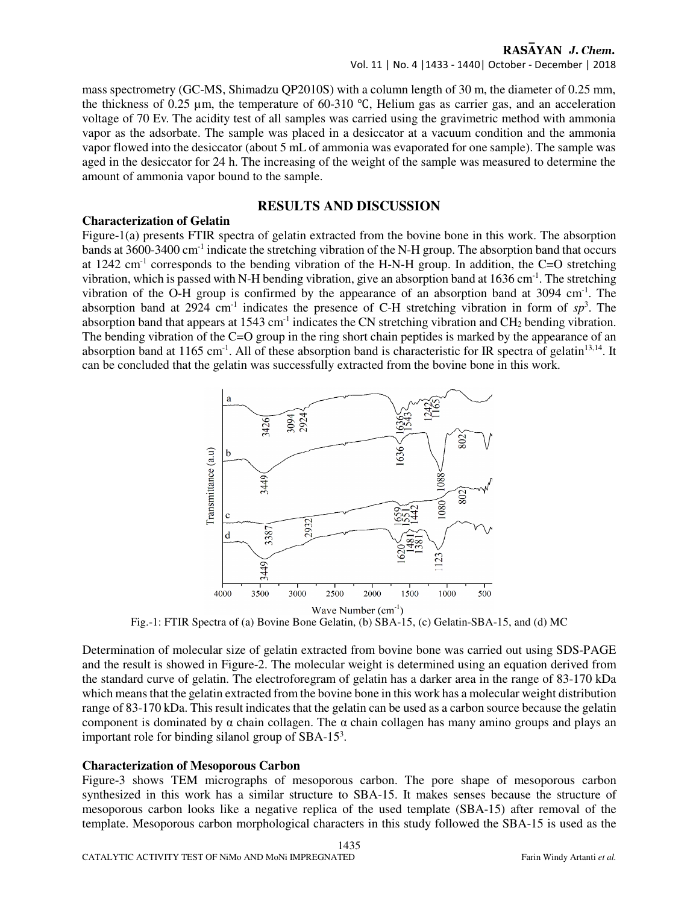#### RASAYAN J. Chem.

mass spectrometry (GC-MS, Shimadzu QP2010S) with a column length of 30 m, the diameter of 0.25 mm, the thickness of 0.25 µm, the temperature of 60-310 ℃, Helium gas as carrier gas, and an acceleration voltage of 70 Ev. The acidity test of all samples was carried using the gravimetric method with ammonia vapor as the adsorbate. The sample was placed in a desiccator at a vacuum condition and the ammonia vapor flowed into the desiccator (about 5 mL of ammonia was evaporated for one sample). The sample was aged in the desiccator for 24 h. The increasing of the weight of the sample was measured to determine the amount of ammonia vapor bound to the sample.

### **RESULTS AND DISCUSSION**

#### **Characterization of Gelatin**

Figure-1(a) presents FTIR spectra of gelatin extracted from the bovine bone in this work. The absorption bands at 3600-3400 cm-1 indicate the stretching vibration of the N-H group. The absorption band that occurs at 1242 cm-1 corresponds to the bending vibration of the H-N-H group. In addition, the C=O stretching vibration, which is passed with N-H bending vibration, give an absorption band at  $1636 \text{ cm}^{-1}$ . The stretching vibration of the O-H group is confirmed by the appearance of an absorption band at  $3094 \text{ cm}^{-1}$ . The absorption band at 2924 cm<sup>-1</sup> indicates the presence of C-H stretching vibration in form of  $sp^3$ . The absorption band that appears at 1543 cm<sup>-1</sup> indicates the CN stretching vibration and CH<sub>2</sub> bending vibration. The bending vibration of the C=O group in the ring short chain peptides is marked by the appearance of an absorption band at 1165 cm<sup>-1</sup>. All of these absorption band is characteristic for IR spectra of gelatin<sup>13,14</sup>. It can be concluded that the gelatin was successfully extracted from the bovine bone in this work.



Fig.-1: FTIR Spectra of (a) Bovine Bone Gelatin, (b) SBA-15, (c) Gelatin-SBA-15, and (d) MC

Determination of molecular size of gelatin extracted from bovine bone was carried out using SDS-PAGE and the result is showed in Figure-2. The molecular weight is determined using an equation derived from the standard curve of gelatin. The electroforegram of gelatin has a darker area in the range of 83-170 kDa which means that the gelatin extracted from the bovine bone in this work has a molecular weight distribution range of 83-170 kDa. This result indicates that the gelatin can be used as a carbon source because the gelatin component is dominated by  $\alpha$  chain collagen. The  $\alpha$  chain collagen has many amino groups and plays an important role for binding silanol group of SBA-15<sup>3</sup>.

#### **Characterization of Mesoporous Carbon**

Figure-3 shows TEM micrographs of mesoporous carbon. The pore shape of mesoporous carbon synthesized in this work has a similar structure to SBA-15. It makes senses because the structure of mesoporous carbon looks like a negative replica of the used template (SBA-15) after removal of the template. Mesoporous carbon morphological characters in this study followed the SBA-15 is used as the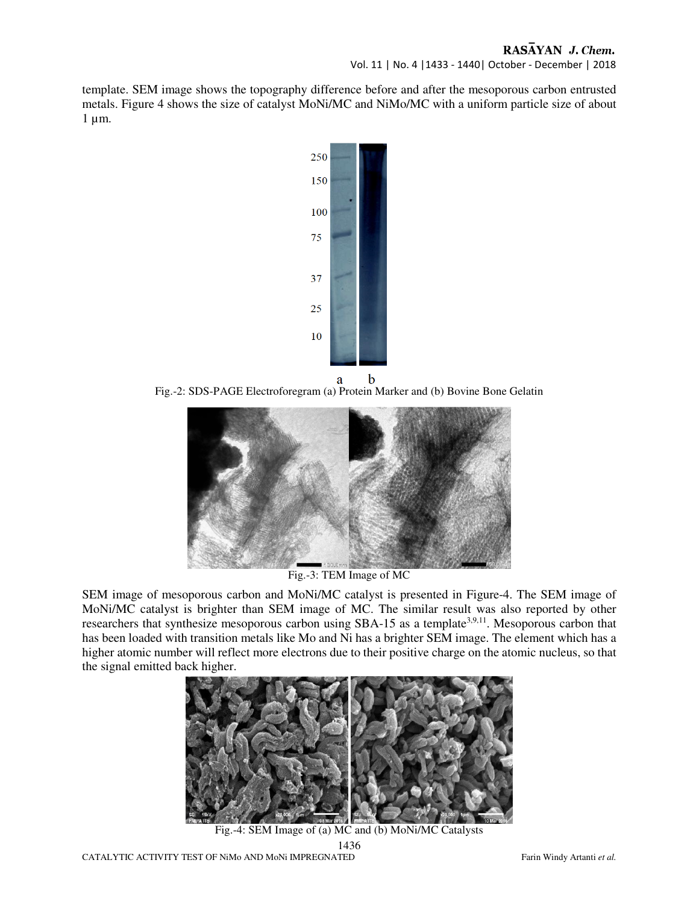# RASAYAN J. Chem.

Vol. 11 | No. 4 |1433 - 1440| October - December | 2018

template. SEM image shows the topography difference before and after the mesoporous carbon entrusted metals. Figure 4 shows the size of catalyst MoNi/MC and NiMo/MC with a uniform particle size of about  $1 \mu m$ .



Fig.-2: SDS-PAGE Electroforegram (a) Protein Marker and (b) Bovine Bone Gelatin



Fig.-3: TEM Image of MC

SEM image of mesoporous carbon and MoNi/MC catalyst is presented in Figure-4. The SEM image of MoNi/MC catalyst is brighter than SEM image of MC. The similar result was also reported by other researchers that synthesize mesoporous carbon using SBA-15 as a template<sup>3,9,11</sup>. Mesoporous carbon that has been loaded with transition metals like Mo and Ni has a brighter SEM image. The element which has a higher atomic number will reflect more electrons due to their positive charge on the atomic nucleus, so that the signal emitted back higher.



1436 Fig.-4: SEM Image of (a) MC and (b) MoNi/MC Catalysts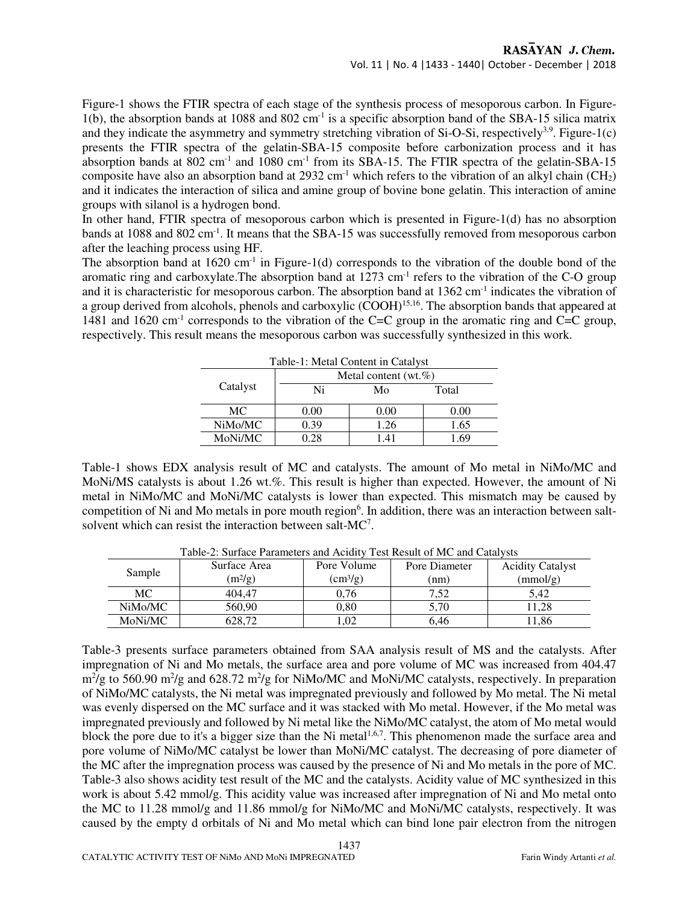Figure-1 shows the FTIR spectra of each stage of the synthesis process of mesoporous carbon. In Figure-1(b), the absorption bands at 1088 and 802 cm<sup>-1</sup> is a specific absorption band of the SBA-15 silica matrix and they indicate the asymmetry and symmetry stretching vibration of Si-O-Si, respectively<sup>3,9</sup>. Figure-1(c) presents the FTIR spectra of the gelatin-SBA-15 composite before carbonization process and it has absorption bands at 802 cm<sup>-1</sup> and 1080 cm<sup>-1</sup> from its SBA-15. The FTIR spectra of the gelatin-SBA-15 composite have also an absorption band at 2932 cm<sup>-1</sup> which refers to the vibration of an alkyl chain (CH<sub>2</sub>) and it indicates the interaction of silica and amine group of bovine bone gelatin. This interaction of amine groups with silanol is a hydrogen bond.

In other hand, FTIR spectra of mesoporous carbon which is presented in Figure-1(d) has no absorption bands at 1088 and 802 cm<sup>-1</sup>. It means that the SBA-15 was successfully removed from mesoporous carbon after the leaching process using HF.

The absorption band at  $1620 \text{ cm}^{-1}$  in Figure-1(d) corresponds to the vibration of the double bond of the aromatic ring and carboxylate. The absorption band at  $1273 \text{ cm}^{-1}$  refers to the vibration of the C-O group and it is characteristic for mesoporous carbon. The absorption band at 1362 cm<sup>-1</sup> indicates the vibration of a group derived from alcohols, phenols and carboxylic (COOH)<sup>15,16</sup>. The absorption bands that appeared at 1481 and 1620 cm<sup>-1</sup> corresponds to the vibration of the C=C group in the aromatic ring and C=C group, respectively. This result means the mesoporous carbon was successfully synthesized in this work.

| Table-1: Metal Content in Catalyst |                          |      |       |  |  |  |  |
|------------------------------------|--------------------------|------|-------|--|--|--|--|
| Catalyst                           | Metal content $(wt, %$ ) |      |       |  |  |  |  |
|                                    | Ni                       | Mo   | Total |  |  |  |  |
| МC                                 | $0.00\,$                 | 0.00 | 0.00  |  |  |  |  |
| NiMo/MC                            | 0.39                     | 1.26 | 1.65  |  |  |  |  |
| MoNi/MC                            | 0.28                     | 1.41 | .69   |  |  |  |  |

Table-1 shows EDX analysis result of MC and catalysts. The amount of Mo metal in NiMo/MC and MoNi/MS catalysts is about 1.26 wt.%. This result is higher than expected. However, the amount of Ni metal in NiMo/MC and MoNi/MC catalysts is lower than expected. This mismatch may be caused by competition of Ni and Mo metals in pore mouth region<sup>6</sup>. In addition, there was an interaction between saltsolvent which can resist the interaction between salt-MC<sup>7</sup> .

| Table-2. Surface Farameters and Actuity Test Result of MC and Catalysts |              |                          |               |                         |  |  |  |
|-------------------------------------------------------------------------|--------------|--------------------------|---------------|-------------------------|--|--|--|
| Sample                                                                  | Surface Area | Pore Volume              | Pore Diameter | <b>Acidity Catalyst</b> |  |  |  |
|                                                                         | $(m^{2}/g)$  | $\text{(cm}^3\text{/g})$ | (nm)          | (mmol/g)                |  |  |  |
| МC                                                                      | 404.47       | 0.76                     | 7.52          | 5.42                    |  |  |  |
| NiMo/MC                                                                 | 560.90       | 0.80                     | 5.70          | 1.28                    |  |  |  |
| MoNi/MC                                                                 | 628.72       | .02                      | 6.46          | 1.86                    |  |  |  |

Table-2: Surface Parameters and Acidity Test Result of MC and Catalysts

Table-3 presents surface parameters obtained from SAA analysis result of MS and the catalysts. After impregnation of Ni and Mo metals, the surface area and pore volume of MC was increased from 404.47 m<sup>2</sup>/g to 560.90 m<sup>2</sup>/g and 628.72 m<sup>2</sup>/g for NiMo/MC and MoNi/MC catalysts, respectively. In preparation of NiMo/MC catalysts, the Ni metal was impregnated previously and followed by Mo metal. The Ni metal was evenly dispersed on the MC surface and it was stacked with Mo metal. However, if the Mo metal was impregnated previously and followed by Ni metal like the NiMo/MC catalyst, the atom of Mo metal would block the pore due to it's a bigger size than the Ni metal<sup>1,6,7</sup>. This phenomenon made the surface area and pore volume of NiMo/MC catalyst be lower than MoNi/MC catalyst. The decreasing of pore diameter of the MC after the impregnation process was caused by the presence of Ni and Mo metals in the pore of MC. Table-3 also shows acidity test result of the MC and the catalysts. Acidity value of MC synthesized in this work is about 5.42 mmol/g. This acidity value was increased after impregnation of Ni and Mo metal onto the MC to 11.28 mmol/g and 11.86 mmol/g for NiMo/MC and MoNi/MC catalysts, respectively. It was caused by the empty d orbitals of Ni and Mo metal which can bind lone pair electron from the nitrogen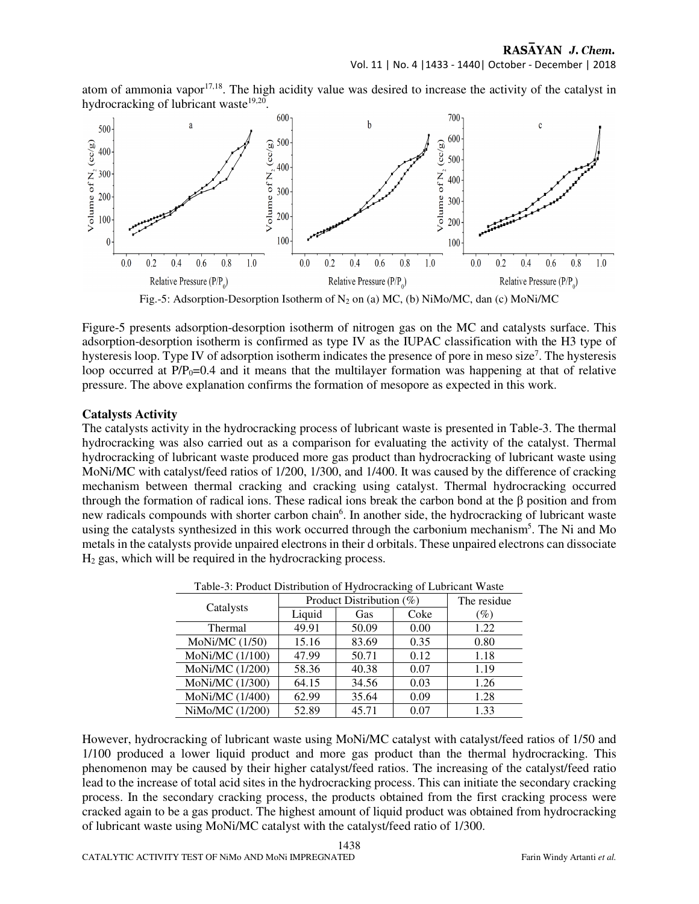RASAYAN J. Chem.

atom of ammonia vapor $17,18$ . The high acidity value was desired to increase the activity of the catalyst in hydrocracking of lubricant waste<sup>19,20</sup>.



Fig.-5: Adsorption-Desorption Isotherm of  $N_2$  on (a) MC, (b) NiMo/MC, dan (c) MoNi/MC

Figure-5 presents adsorption-desorption isotherm of nitrogen gas on the MC and catalysts surface. This adsorption-desorption isotherm is confirmed as type IV as the IUPAC classification with the H3 type of hysteresis loop. Type IV of adsorption isotherm indicates the presence of pore in meso size<sup>7</sup>. The hysteresis loop occurred at  $P/P_0$ =0.4 and it means that the multilayer formation was happening at that of relative pressure. The above explanation confirms the formation of mesopore as expected in this work.

#### **Catalysts Activity**

The catalysts activity in the hydrocracking process of lubricant waste is presented in Table-3. The thermal hydrocracking was also carried out as a comparison for evaluating the activity of the catalyst. Thermal hydrocracking of lubricant waste produced more gas product than hydrocracking of lubricant waste using MoNi/MC with catalyst/feed ratios of 1/200, 1/300, and 1/400. It was caused by the difference of cracking mechanism between thermal cracking and cracking using catalyst. Thermal hydrocracking occurred through the formation of radical ions. These radical ions break the carbon bond at the β position and from new radicals compounds with shorter carbon chain<sup>6</sup>. In another side, the hydrocracking of lubricant waste using the catalysts synthesized in this work occurred through the carbonium mechanism<sup>5</sup>. The Ni and Mo metals in the catalysts provide unpaired electrons in their d orbitals. These unpaired electrons can dissociate  $H<sub>2</sub>$  gas, which will be required in the hydrocracking process.

|                 | Product Distribution (%) |       |      | The residue     |
|-----------------|--------------------------|-------|------|-----------------|
| Catalysts       | Liquid                   | Gas   | Coke | $\mathscr{Y}_o$ |
| Thermal         | 49.91                    | 50.09 | 0.00 | 1.22            |
| MoNi/MC (1/50)  | 15.16                    | 83.69 | 0.35 | 0.80            |
| MoNi/MC (1/100) | 47.99                    | 50.71 | 0.12 | 1.18            |
| MoNi/MC (1/200) | 58.36                    | 40.38 | 0.07 | 1.19            |
| MoNi/MC (1/300) | 64.15                    | 34.56 | 0.03 | 1.26            |
| MoNi/MC (1/400) | 62.99                    | 35.64 | 0.09 | 1.28            |
| NiMo/MC (1/200) | 52.89                    | 45.71 | 0.07 | 1.33            |

Table-3: Product Distribution of Hydrocracking of Lubricant Waste

However, hydrocracking of lubricant waste using MoNi/MC catalyst with catalyst/feed ratios of 1/50 and 1/100 produced a lower liquid product and more gas product than the thermal hydrocracking. This phenomenon may be caused by their higher catalyst/feed ratios. The increasing of the catalyst/feed ratio lead to the increase of total acid sites in the hydrocracking process. This can initiate the secondary cracking process. In the secondary cracking process, the products obtained from the first cracking process were cracked again to be a gas product. The highest amount of liquid product was obtained from hydrocracking of lubricant waste using MoNi/MC catalyst with the catalyst/feed ratio of 1/300.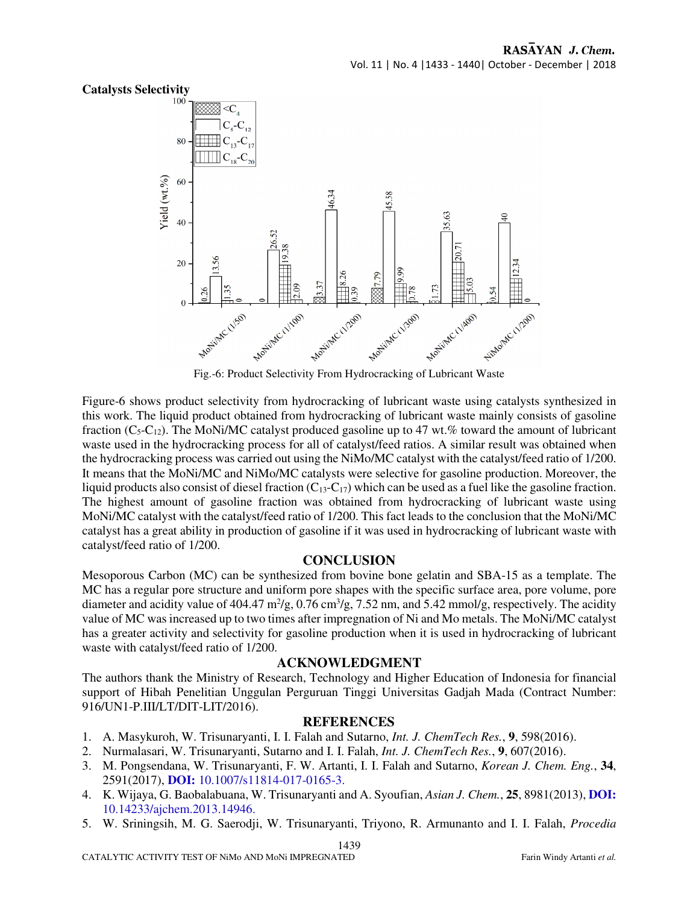

Fig.-6: Product Selectivity From Hydrocracking of Lubricant Waste

Figure-6 shows product selectivity from hydrocracking of lubricant waste using catalysts synthesized in this work. The liquid product obtained from hydrocracking of lubricant waste mainly consists of gasoline fraction ( $C_5-C_{12}$ ). The MoNi/MC catalyst produced gasoline up to 47 wt.% toward the amount of lubricant waste used in the hydrocracking process for all of catalyst/feed ratios. A similar result was obtained when the hydrocracking process was carried out using the NiMo/MC catalyst with the catalyst/feed ratio of 1/200. It means that the MoNi/MC and NiMo/MC catalysts were selective for gasoline production. Moreover, the liquid products also consist of diesel fraction  $(C_{13}-C_{17})$  which can be used as a fuel like the gasoline fraction. The highest amount of gasoline fraction was obtained from hydrocracking of lubricant waste using MoNi/MC catalyst with the catalyst/feed ratio of 1/200. This fact leads to the conclusion that the MoNi/MC catalyst has a great ability in production of gasoline if it was used in hydrocracking of lubricant waste with catalyst/feed ratio of 1/200.

#### **CONCLUSION**

Mesoporous Carbon (MC) can be synthesized from bovine bone gelatin and SBA-15 as a template. The MC has a regular pore structure and uniform pore shapes with the specific surface area, pore volume, pore diameter and acidity value of 404.47  $m^2/g$ , 0.76 cm<sup>3</sup>/g, 7.52 nm, and 5.42 mmol/g, respectively. The acidity value of MC was increased up to two times after impregnation of Ni and Mo metals. The MoNi/MC catalyst has a greater activity and selectivity for gasoline production when it is used in hydrocracking of lubricant waste with catalyst/feed ratio of 1/200.

#### **ACKNOWLEDGMENT**

The authors thank the Ministry of Research, Technology and Higher Education of Indonesia for financial support of Hibah Penelitian Unggulan Perguruan Tinggi Universitas Gadjah Mada (Contract Number: 916/UN1-P.III/LT/DIT-LIT/2016).

#### **REFERENCES**

- 1. A. Masykuroh, W. Trisunaryanti, I. I. Falah and Sutarno, *Int. J. ChemTech Res.*, **9**, 598(2016).
- 2. Nurmalasari, W. Trisunaryanti, Sutarno and I. I. Falah, *Int. J. ChemTech Res.*, **9**, 607(2016).
- 3. M. Pongsendana, W. Trisunaryanti, F. W. Artanti, I. I. Falah and Sutarno, *Korean J. Chem. Eng.*, **34**, 2591(2017), **DOI:** 10.1007/s11814-017-0165-3.
- 4. K. Wijaya, G. Baobalabuana, W. Trisunaryanti and A. Syoufian, *Asian J. Chem.*, **25**, 8981(2013), **DOI:** 10.14233/ajchem.2013.14946.
- 5. W. Sriningsih, M. G. Saerodji, W. Trisunaryanti, Triyono, R. Armunanto and I. I. Falah, *Procedia*